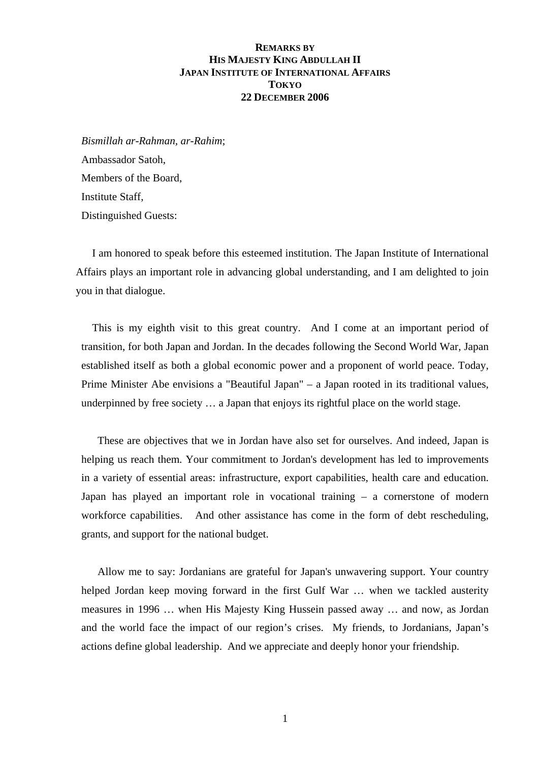## **REMARKS BY HIS MAJESTY KING ABDULLAH II JAPAN INSTITUTE OF INTERNATIONAL AFFAIRS TOKYO 22 DECEMBER 2006**

*Bismillah ar-Rahman, ar-Rahim*; Ambassador Satoh, Members of the Board, Institute Staff, Distinguished Guests:

I am honored to speak before this esteemed institution. The Japan Institute of International Affairs plays an important role in advancing global understanding, and I am delighted to join you in that dialogue.

This is my eighth visit to this great country. And I come at an important period of transition, for both Japan and Jordan. In the decades following the Second World War, Japan established itself as both a global economic power and a proponent of world peace. Today, Prime Minister Abe envisions a "Beautiful Japan" – a Japan rooted in its traditional values, underpinned by free society … a Japan that enjoys its rightful place on the world stage.

These are objectives that we in Jordan have also set for ourselves. And indeed, Japan is helping us reach them. Your commitment to Jordan's development has led to improvements in a variety of essential areas: infrastructure, export capabilities, health care and education. Japan has played an important role in vocational training – a cornerstone of modern workforce capabilities. And other assistance has come in the form of debt rescheduling, grants, and support for the national budget.

Allow me to say: Jordanians are grateful for Japan's unwavering support. Your country helped Jordan keep moving forward in the first Gulf War … when we tackled austerity measures in 1996 … when His Majesty King Hussein passed away … and now, as Jordan and the world face the impact of our region's crises. My friends, to Jordanians, Japan's actions define global leadership. And we appreciate and deeply honor your friendship.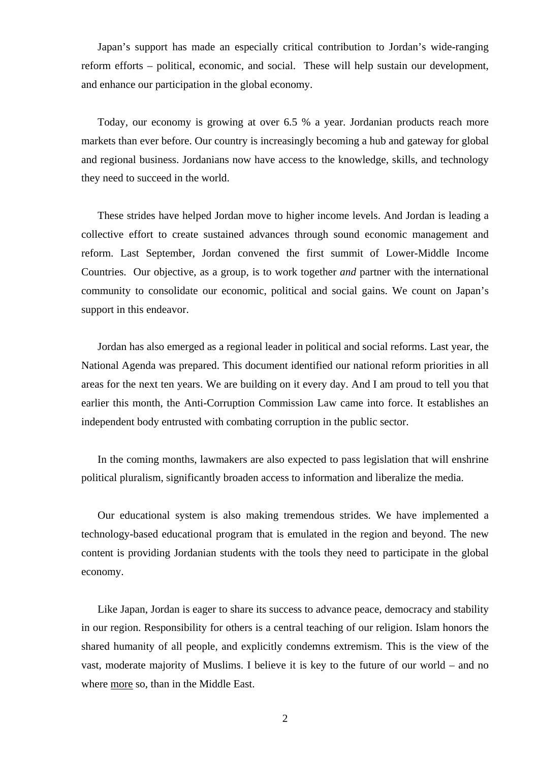Japan's support has made an especially critical contribution to Jordan's wide-ranging reform efforts – political, economic, and social. These will help sustain our development, and enhance our participation in the global economy.

Today, our economy is growing at over 6.5 % a year. Jordanian products reach more markets than ever before. Our country is increasingly becoming a hub and gateway for global and regional business. Jordanians now have access to the knowledge, skills, and technology they need to succeed in the world.

These strides have helped Jordan move to higher income levels. And Jordan is leading a collective effort to create sustained advances through sound economic management and reform. Last September, Jordan convened the first summit of Lower-Middle Income Countries. Our objective, as a group, is to work together *and* partner with the international community to consolidate our economic, political and social gains. We count on Japan's support in this endeavor.

Jordan has also emerged as a regional leader in political and social reforms. Last year, the National Agenda was prepared. This document identified our national reform priorities in all areas for the next ten years. We are building on it every day. And I am proud to tell you that earlier this month, the Anti-Corruption Commission Law came into force. It establishes an independent body entrusted with combating corruption in the public sector.

In the coming months, lawmakers are also expected to pass legislation that will enshrine political pluralism, significantly broaden access to information and liberalize the media.

Our educational system is also making tremendous strides. We have implemented a technology-based educational program that is emulated in the region and beyond. The new content is providing Jordanian students with the tools they need to participate in the global economy.

Like Japan, Jordan is eager to share its success to advance peace, democracy and stability in our region. Responsibility for others is a central teaching of our religion. Islam honors the shared humanity of all people, and explicitly condemns extremism. This is the view of the vast, moderate majority of Muslims. I believe it is key to the future of our world – and no where more so, than in the Middle East.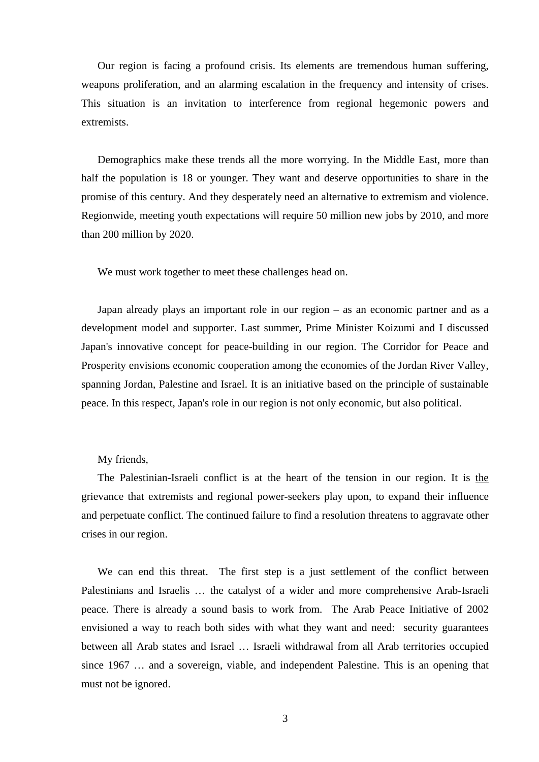Our region is facing a profound crisis. Its elements are tremendous human suffering, weapons proliferation, and an alarming escalation in the frequency and intensity of crises. This situation is an invitation to interference from regional hegemonic powers and extremists.

Demographics make these trends all the more worrying. In the Middle East, more than half the population is 18 or younger. They want and deserve opportunities to share in the promise of this century. And they desperately need an alternative to extremism and violence. Regionwide, meeting youth expectations will require 50 million new jobs by 2010, and more than 200 million by 2020.

We must work together to meet these challenges head on.

Japan already plays an important role in our region – as an economic partner and as a development model and supporter. Last summer, Prime Minister Koizumi and I discussed Japan's innovative concept for peace-building in our region. The Corridor for Peace and Prosperity envisions economic cooperation among the economies of the Jordan River Valley, spanning Jordan, Palestine and Israel. It is an initiative based on the principle of sustainable peace. In this respect, Japan's role in our region is not only economic, but also political.

## My friends,

The Palestinian-Israeli conflict is at the heart of the tension in our region. It is the grievance that extremists and regional power-seekers play upon, to expand their influence and perpetuate conflict. The continued failure to find a resolution threatens to aggravate other crises in our region.

We can end this threat. The first step is a just settlement of the conflict between Palestinians and Israelis … the catalyst of a wider and more comprehensive Arab-Israeli peace. There is already a sound basis to work from. The Arab Peace Initiative of 2002 envisioned a way to reach both sides with what they want and need: security guarantees between all Arab states and Israel … Israeli withdrawal from all Arab territories occupied since 1967 … and a sovereign, viable, and independent Palestine. This is an opening that must not be ignored.